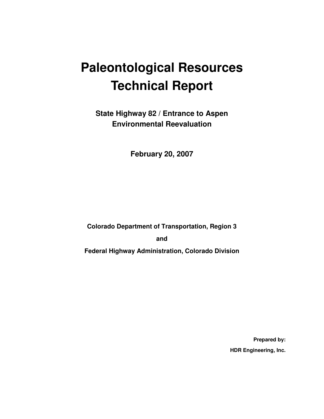# **Paleontological Resources Technical Report**

**State Highway 82 / Entrance to Aspen Environmental Reevaluation** 

**February 20, 2007** 

**Colorado Department of Transportation, Region 3** 

**and** 

**Federal Highway Administration, Colorado Division** 

**Prepared by: HDR Engineering, Inc.**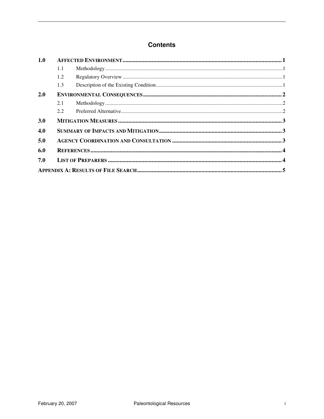#### **Contents**

| 1.0        |     |  |  |  |
|------------|-----|--|--|--|
|            | 1.1 |  |  |  |
|            | 1.2 |  |  |  |
|            | 1.3 |  |  |  |
| <b>2.0</b> |     |  |  |  |
|            | 2.1 |  |  |  |
|            | 2.2 |  |  |  |
| 3.0        |     |  |  |  |
| 4.0        |     |  |  |  |
| 5.0        |     |  |  |  |
| 6.0        |     |  |  |  |
| 7.0        |     |  |  |  |
|            |     |  |  |  |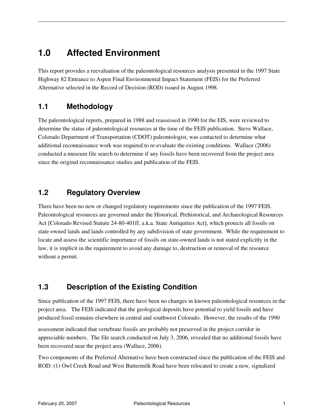#### **1.0 Affected Environment**

This report provides a reevaluation of the paleontological resources analysis presented in the 1997 State Highway 82 Entrance to Aspen Final Environmental Impact Statement (FEIS) for the Preferred Alternative selected in the Record of Decision (ROD) issued in August 1998.

#### **1.1 Methodology**

The paleontological reports, prepared in 1988 and reassessed in 1990 for the EIS, were reviewed to determine the status of paleontological resources at the time of the FEIS publication. Steve Wallace, Colorado Department of Transportation (CDOT) paleontologist, was contacted to determine what additional reconnaissance work was required to re-evaluate the existing conditions. Wallace (2006) conducted a museum file search to determine if any fossils have been recovered from the project area since the original reconnaissance studies and publication of the FEIS.

#### **1.2 Regulatory Overview**

There have been no new or changed regulatory requirements since the publication of the 1997 FEIS. Paleontological resources are governed under the Historical, Prehistorical, and Archaeological Resources Act [Colorado Revised Statute 24-80-401ff, a.k.a. State Antiquities Act], which protects all fossils on state-owned lands and lands controlled by any subdivision of state government. While the requirement to locate and assess the scientific importance of fossils on state-owned lands is not stated explicitly in the law, it is implicit in the requirement to avoid any damage to, destruction or removal of the resource without a permit.

#### **1.3 Description of the Existing Condition**

Since publication of the 1997 FEIS, there have been no changes in known paleontological resources in the project area. The FEIS indicated that the geological deposits have potential to yield fossils and have produced fossil remains elsewhere in central and southwest Colorado. However, the results of the 1990

assessment indicated that vertebrate fossils are probably not preserved in the project corridor in appreciable numbers. The file search conducted on July 3, 2006, revealed that no additional fossils have been recovered near the project area (Wallace, 2006).

Two components of the Preferred Alternative have been constructed since the publication of the FEIS and ROD: (1) Owl Creek Road and West Buttermilk Road have been relocated to create a new, signalized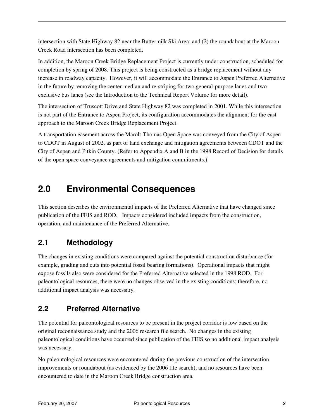intersection with State Highway 82 near the Buttermilk Ski Area; and (2) the roundabout at the Maroon Creek Road intersection has been completed.

In addition, the Maroon Creek Bridge Replacement Project is currently under construction, scheduled for completion by spring of 2008. This project is being constructed as a bridge replacement without any increase in roadway capacity. However, it will accommodate the Entrance to Aspen Preferred Alternative in the future by removing the center median and re-striping for two general-purpose lanes and two exclusive bus lanes (see the Introduction to the Technical Report Volume for more detail).

The intersection of Truscott Drive and State Highway 82 was completed in 2001. While this intersection is not part of the Entrance to Aspen Project, its configuration accommodates the alignment for the east approach to the Maroon Creek Bridge Replacement Project.

A transportation easement across the Marolt-Thomas Open Space was conveyed from the City of Aspen to CDOT in August of 2002, as part of land exchange and mitigation agreements between CDOT and the City of Aspen and Pitkin County. (Refer to Appendix A and B in the 1998 Record of Decision for details of the open space conveyance agreements and mitigation commitments.)

## **2.0 Environmental Consequences**

This section describes the environmental impacts of the Preferred Alternative that have changed since publication of the FEIS and ROD. Impacts considered included impacts from the construction, operation, and maintenance of the Preferred Alternative.

#### **2.1 Methodology**

The changes in existing conditions were compared against the potential construction disturbance (for example, grading and cuts into potential fossil bearing formations). Operational impacts that might expose fossils also were considered for the Preferred Alternative selected in the 1998 ROD. For paleontological resources, there were no changes observed in the existing conditions; therefore, no additional impact analysis was necessary.

#### **2.2 Preferred Alternative**

The potential for paleontological resources to be present in the project corridor is low based on the original reconnaissance study and the 2006 research file search. No changes in the existing paleontological conditions have occurred since publication of the FEIS so no additional impact analysis was necessary.

No paleontological resources were encountered during the previous construction of the intersection improvements or roundabout (as evidenced by the 2006 file search), and no resources have been encountered to date in the Maroon Creek Bridge construction area.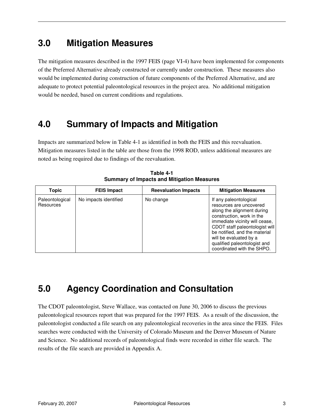#### **3.0 Mitigation Measures**

The mitigation measures described in the 1997 FEIS (page VI-4) have been implemented for components of the Preferred Alternative already constructed or currently under construction. These measures also would be implemented during construction of future components of the Preferred Alternative, and are adequate to protect potential paleontological resources in the project area. No additional mitigation would be needed, based on current conditions and regulations.

#### **4.0 Summary of Impacts and Mitigation**

Impacts are summarized below in Table 4-1 as identified in both the FEIS and this reevaluation. Mitigation measures listed in the table are those from the 1998 ROD, unless additional measures are noted as being required due to findings of the reevaluation.

| Topic                        | <b>FEIS Impact</b>    | <b>Reevaluation Impacts</b> | <b>Mitigation Measures</b>                                                                                                                                                                                                                                                                                |
|------------------------------|-----------------------|-----------------------------|-----------------------------------------------------------------------------------------------------------------------------------------------------------------------------------------------------------------------------------------------------------------------------------------------------------|
| Paleontological<br>Resources | No impacts identified | No change                   | If any paleontological<br>resources are uncovered<br>along the alignment during<br>construction, work in the<br>immediate vicinity will cease,<br>CDOT staff paleontologist will<br>be notified, and the material<br>will be evaluated by a<br>qualified paleontologist and<br>coordinated with the SHPO. |

**Table 4-1 Summary of Impacts and Mitigation Measures** 

## **5.0 Agency Coordination and Consultation**

The CDOT paleontologist, Steve Wallace, was contacted on June 30, 2006 to discuss the previous paleontological resources report that was prepared for the 1997 FEIS. As a result of the discussion, the paleontologist conducted a file search on any paleontological recoveries in the area since the FEIS. Files searches were conducted with the University of Colorado Museum and the Denver Museum of Nature and Science. No additional records of paleontological finds were recorded in either file search. The results of the file search are provided in Appendix A.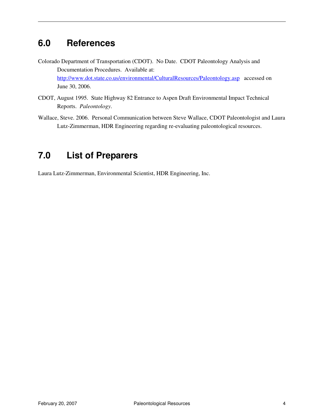## **6.0 References**

- Colorado Department of Transportation (CDOT). No Date. CDOT Paleontology Analysis and Documentation Procedures. Available at: http://www.dot.state.co.us/environmental/CulturalResources/Paleontology.asp accessed on June 30, 2006.
- CDOT, August 1995. State Highway 82 Entrance to Aspen Draft Environmental Impact Technical Reports. *Paleontology*.
- Wallace, Steve. 2006. Personal Communication between Steve Wallace, CDOT Paleontologist and Laura Lutz-Zimmerman, HDR Engineering regarding re-evaluating paleontological resources.

## **7.0 List of Preparers**

Laura Lutz-Zimmerman, Environmental Scientist, HDR Engineering, Inc.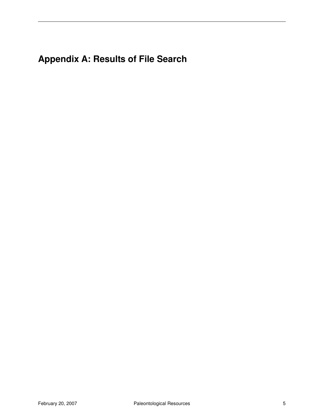## **Appendix A: Results of File Search**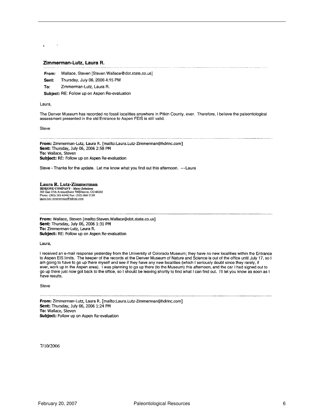#### Zimmerman-Lutz, Laura R.

Wallace, Steven [Steven.Wallace@dot.state.co.us] From:

- Thursday, July 06, 2006 4:15 PM Sent:
- To: Zimmerman-Lutz, Laura R.

Subject: RE: Follow up on Aspen Re-evaluation

Laura,

The Denver Museum has recorded no fossil localities anywhere in Pitkin County, ever. Therefore, I believe the paleontological assessment presented in the old Entrance to Aspen FEIS is still valid.

Steve

From: Zimmerman-Lutz, Laura R. [mailto:Laura.Lutz-Zimmerman@hdrinc.com] Sent: Thursday, July 06, 2006 2:58 PM To: Wallace, Steven Subject: RE: Follow up on Aspen Re-evaluation

Steve - Thanks for the update. Let me know what you find out this afternoon. ~~ Laura

Laura R. Lutz-Zimmerman HDRIONE COMPANY - Many Solutions<br>303 East 17th Avenue Suite 700 Denver, CO 80203<br>Phone: (303) 318-6344 Fax: (303) 860-7139 laura.lutz-zimmerman@hdrinc.com

From: Wallace, Steven [mailto:Steven.Wallace@dot.state.co.us] Sent: Thursday, July 06, 2006 1:31 PM To: Zimmerman-Lutz, Laura R. Subject: RE: Follow up on Aspen Re-evaluation

Laura,

I received an e-mail response yesterday from the University of Colorado Museum; they have no new localities within the Entrance to Aspen EIS limits. The keeper of the records at the Denver Museum of Nature and Science is out of the office until July 17, so I am going to have to go up there myself and see if they have any new localities (which I seriously doubt since they rarely, if ever, work up in the Aspen area). I was planning to go up there (to the Museum) this afternoon, and the car I had signed out to go up there just now got back to the office, so I should be leaving shortly to find what I can find out. I'll let you know as soon as I have results.

Steve

From: Zimmerman-Lutz, Laura R. [mailto:Laura.Lutz-Zimmerman@hdrinc.com] Sent: Thursday, July 06, 2006 1:24 PM To: Wallace, Steven Subject: Follow up on Aspen Re-evaluation

7/10/2006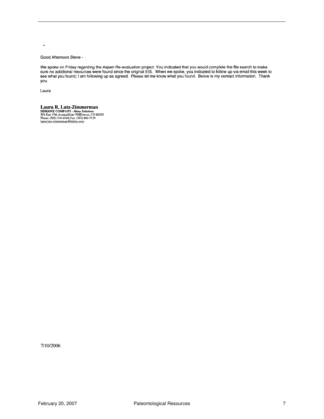$\blacksquare$ 

#### Good Afternoon Steve -

We spoke on Friday regarding the Aspen Re-evaluation project. You indicated that you would complete the file search to make<br>sure no additional resources were found since the original EIS. When we spoke, you indicated to fo you.

Laura

**Laura R. Lutz-Zimmerman**<br> **HDR|ONE COMPANY** - *Many Solutions*<br>
303 East 17th AvenuelStuite 700[Denver, CO 80203<br>
Phone: (303) 318-6344| Fax: (303) 860-7139<br>
laura.lutz-zimmerman@hdrinc.com

7/10/2006